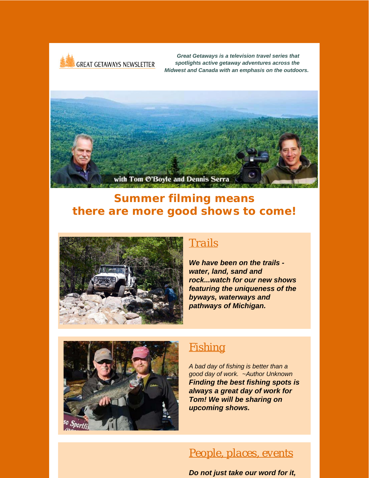

*Great Getaways is a television travel series that spotlights active getaway adventures across the Midwest and Canada with an emphasis on the outdoors.*



# *Summer filming means there are more good shows to come!*



### *[Trails](http://r20.rs6.net/tn.jsp?f=001XVnSKgt3b5h1wfmhcayictwZf_ZFY0ef9iH2GQFAMYZhilGWuhypDp-yTLuIHPSFyAd5_dkbP04d5KpdsBH_3S31gFWBfgZmam23da1jWfnS_vJyYl_bxd_qZuk3n89cHZOhhA6t8DUN1Px_jJY5RfVv9-XVNyGKAow4Pcur8lk=&c=v50DS4rWpcYa6Pje7yzFWdqK_ZZgpQfrGtdlXF3PP4MN3geu_B6kMA==&ch=r0pBLrZF49xMbfApBiXQC48PM7QGKUn_RnnF9znnAKAU2AmxdsHQQw==)*

*We have been on the trails water, land, sand and rock...watch for our new shows featuring the uniqueness of the byways, waterways and pathways of Michigan.*



## *[Fishing](http://r20.rs6.net/tn.jsp?f=001XVnSKgt3b5h1wfmhcayictwZf_ZFY0ef9iH2GQFAMYZhilGWuhypDvaBww9kCddFS4wf0FHoElNQTWrNkpG0nPU_AWdssJ3xBuFwyFEoCTIcdE_XjmEIZ-2eMVRUoWcH75lL5wQm-pc7AayHFfULEaDt6s00JJS3OP3ZsYABz83QyKHKNP8aWA==&c=v50DS4rWpcYa6Pje7yzFWdqK_ZZgpQfrGtdlXF3PP4MN3geu_B6kMA==&ch=r0pBLrZF49xMbfApBiXQC48PM7QGKUn_RnnF9znnAKAU2AmxdsHQQw==)*

*A bad day of fishing is better than a good day of work. ~Author Unknown Finding the best fishing spots is always a great day of work for Tom! We will be sharing on upcoming shows.*

### *[People, places, events](http://r20.rs6.net/tn.jsp?f=001XVnSKgt3b5h1wfmhcayictwZf_ZFY0ef9iH2GQFAMYZhilGWuhypDmsMINKFa4bXhSDSgwWz97TNhoPUVfSlShTwBhENLc7fintZSV1SWCE_zaPojMmr0FWO-Bm9X1aUFW8l8ntLBUklOjL4vPsQECKmb2-SRyQKNFjhKS09ARN-7qO9MCRhmA==&c=v50DS4rWpcYa6Pje7yzFWdqK_ZZgpQfrGtdlXF3PP4MN3geu_B6kMA==&ch=r0pBLrZF49xMbfApBiXQC48PM7QGKUn_RnnF9znnAKAU2AmxdsHQQw==)*

*Do not just take our word for it,*